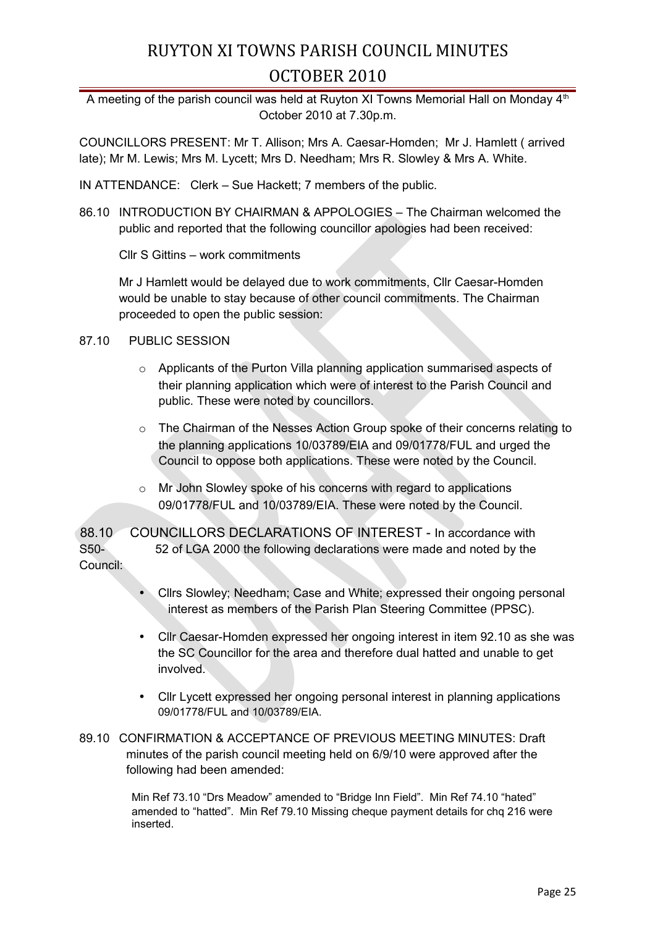A meeting of the parish council was held at Ruyton XI Towns Memorial Hall on Monday 4<sup>th</sup> October 2010 at 7.30p.m.

COUNCILLORS PRESENT: Mr T. Allison; Mrs A. Caesar-Homden; Mr J. Hamlett ( arrived late); Mr M. Lewis; Mrs M. Lycett; Mrs D. Needham; Mrs R. Slowley & Mrs A. White.

IN ATTENDANCE: Clerk – Sue Hackett; 7 members of the public.

86.10 INTRODUCTION BY CHAIRMAN & APPOLOGIES – The Chairman welcomed the public and reported that the following councillor apologies had been received:

Cllr S Gittins – work commitments

Mr J Hamlett would be delayed due to work commitments, Cllr Caesar-Homden would be unable to stay because of other council commitments. The Chairman proceeded to open the public session:

#### 87.10 PUBLIC SESSION

- $\circ$  Applicants of the Purton Villa planning application summarised aspects of their planning application which were of interest to the Parish Council and public. These were noted by councillors.
- $\circ$  The Chairman of the Nesses Action Group spoke of their concerns relating to the planning applications 10/03789/EIA and 09/01778/FUL and urged the Council to oppose both applications. These were noted by the Council.
- o Mr John Slowley spoke of his concerns with regard to applications 09/01778/FUL and 10/03789/EIA. These were noted by the Council.

88.10 COUNCILLORS DECLARATIONS OF INTEREST - In accordance with S50- 52 of LGA 2000 the following declarations were made and noted by the Council:

- Cllrs Slowley; Needham; Case and White; expressed their ongoing personal interest as members of the Parish Plan Steering Committee (PPSC).
- Cllr Caesar-Homden expressed her ongoing interest in item 92.10 as she was the SC Councillor for the area and therefore dual hatted and unable to get involved.
- Cllr Lycett expressed her ongoing personal interest in planning applications 09/01778/FUL and 10/03789/EIA.
- 89.10 CONFIRMATION & ACCEPTANCE OF PREVIOUS MEETING MINUTES: Draft minutes of the parish council meeting held on 6/9/10 were approved after the following had been amended:

 Min Ref 73.10 "Drs Meadow" amended to "Bridge Inn Field". Min Ref 74.10 "hated" amended to "hatted". Min Ref 79.10 Missing cheque payment details for chq 216 were inserted.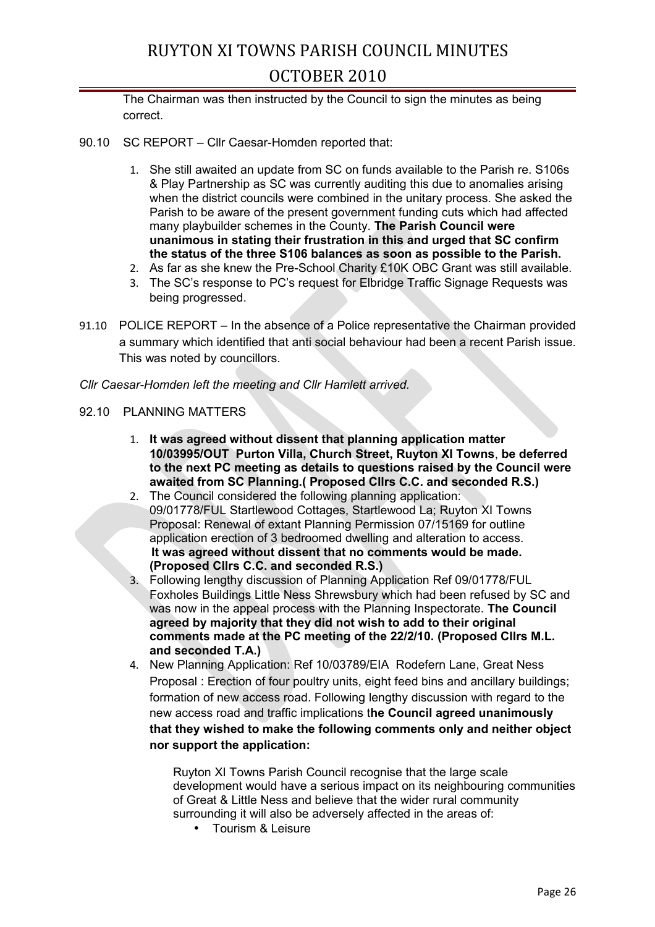The Chairman was then instructed by the Council to sign the minutes as being correct.

- 90.10 SC REPORT Cllr Caesar-Homden reported that:
	- 1. She still awaited an update from SC on funds available to the Parish re. S106s & Play Partnership as SC was currently auditing this due to anomalies arising when the district councils were combined in the unitary process. She asked the Parish to be aware of the present government funding cuts which had affected many playbuilder schemes in the County. **The Parish Council were unanimous in stating their frustration in this and urged that SC confirm the status of the three S106 balances as soon as possible to the Parish.**
	- 2. As far as she knew the Pre-School Charity £10K OBC Grant was still available.
	- 3. The SC's response to PC's request for Elbridge Traffic Signage Requests was being progressed.
- 91.10 POLICE REPORT In the absence of a Police representative the Chairman provided a summary which identified that anti social behaviour had been a recent Parish issue. This was noted by councillors.

*Cllr Caesar-Homden left the meeting and Cllr Hamlett arrived.*

#### 92.10 PLANNING MATTERS

- 1. **It was agreed without dissent that planning application matter 10/03995/OUT Purton Villa, Church Street, Ruyton XI Towns**, **be deferred to the next PC meeting as details to questions raised by the Council were awaited from SC Planning.( Proposed Cllrs C.C. and seconded R.S.)**
- 2. The Council considered the following planning application: 09/01778/FUL Startlewood Cottages, Startlewood La; Ruyton XI Towns Proposal: Renewal of extant Planning Permission 07/15169 for outline application erection of 3 bedroomed dwelling and alteration to access. **It was agreed without dissent that no comments would be made. (Proposed Cllrs C.C. and seconded R.S.)**
- 3. Following lengthy discussion of Planning Application Ref 09/01778/FUL Foxholes Buildings Little Ness Shrewsbury which had been refused by SC and was now in the appeal process with the Planning Inspectorate. **The Council agreed by majority that they did not wish to add to their original comments made at the PC meeting of the 22/2/10. (Proposed Cllrs M.L. and seconded T.A.)**
- 4. New Planning Application: Ref 10/03789/EIA Rodefern Lane, Great Ness Proposal : Erection of four poultry units, eight feed bins and ancillary buildings; formation of new access road. Following lengthy discussion with regard to the new access road and traffic implications t**he Council agreed unanimously that they wished to make the following comments only and neither object nor support the application:**

Ruyton XI Towns Parish Council recognise that the large scale development would have a serious impact on its neighbouring communities of Great & Little Ness and believe that the wider rural community surrounding it will also be adversely affected in the areas of:

• Tourism & Leisure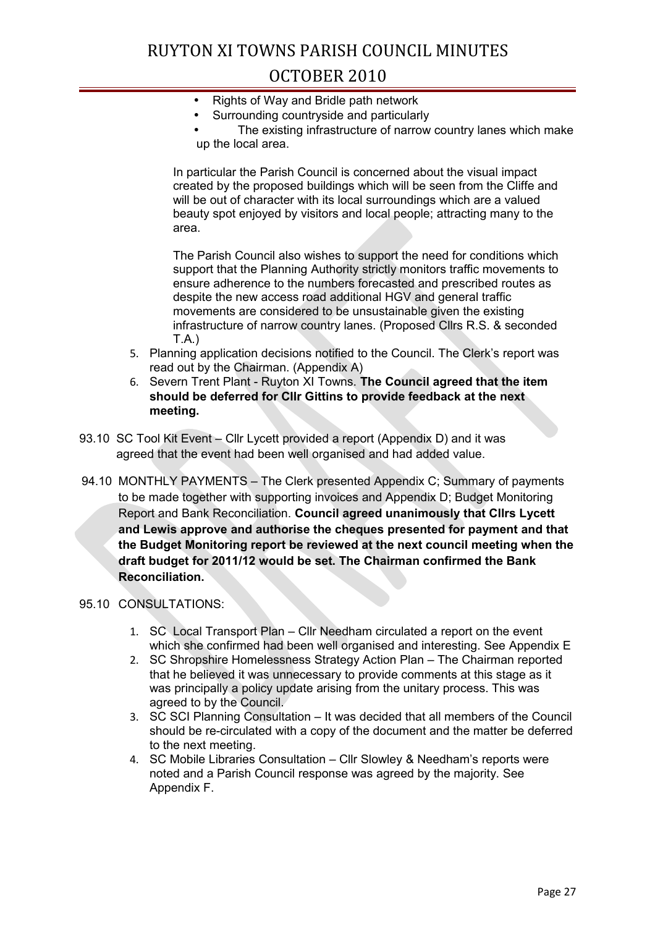- Rights of Way and Bridle path network
- Surrounding countryside and particularly
- The existing infrastructure of narrow country lanes which make up the local area.

In particular the Parish Council is concerned about the visual impact created by the proposed buildings which will be seen from the Cliffe and will be out of character with its local surroundings which are a valued beauty spot enjoyed by visitors and local people; attracting many to the area.

The Parish Council also wishes to support the need for conditions which support that the Planning Authority strictly monitors traffic movements to ensure adherence to the numbers forecasted and prescribed routes as despite the new access road additional HGV and general traffic movements are considered to be unsustainable given the existing infrastructure of narrow country lanes. (Proposed Cllrs R.S. & seconded T.A.)

- 5. Planning application decisions notified to the Council. The Clerk's report was read out by the Chairman. (Appendix A)
- 6. Severn Trent Plant Ruyton XI Towns. **The Council agreed that the item should be deferred for Cllr Gittins to provide feedback at the next meeting.**
- 93.10 SC Tool Kit Event Cllr Lycett provided a report (Appendix D) and it was agreed that the event had been well organised and had added value.
- 94.10 MONTHLY PAYMENTS The Clerk presented Appendix C; Summary of payments to be made together with supporting invoices and Appendix D; Budget Monitoring Report and Bank Reconciliation. **Council agreed unanimously that Cllrs Lycett and Lewis approve and authorise the cheques presented for payment and that the Budget Monitoring report be reviewed at the next council meeting when the draft budget for 2011/12 would be set. The Chairman confirmed the Bank Reconciliation.**

#### 95.10 CONSULTATIONS:

- 1. SC Local Transport Plan Cllr Needham circulated a report on the event which she confirmed had been well organised and interesting. See Appendix E
- 2. SC Shropshire Homelessness Strategy Action Plan The Chairman reported that he believed it was unnecessary to provide comments at this stage as it was principally a policy update arising from the unitary process. This was agreed to by the Council.
- 3. SC SCI Planning Consultation It was decided that all members of the Council should be re-circulated with a copy of the document and the matter be deferred to the next meeting.
- 4. SC Mobile Libraries Consultation Cllr Slowley & Needham's reports were noted and a Parish Council response was agreed by the majority. See Appendix F.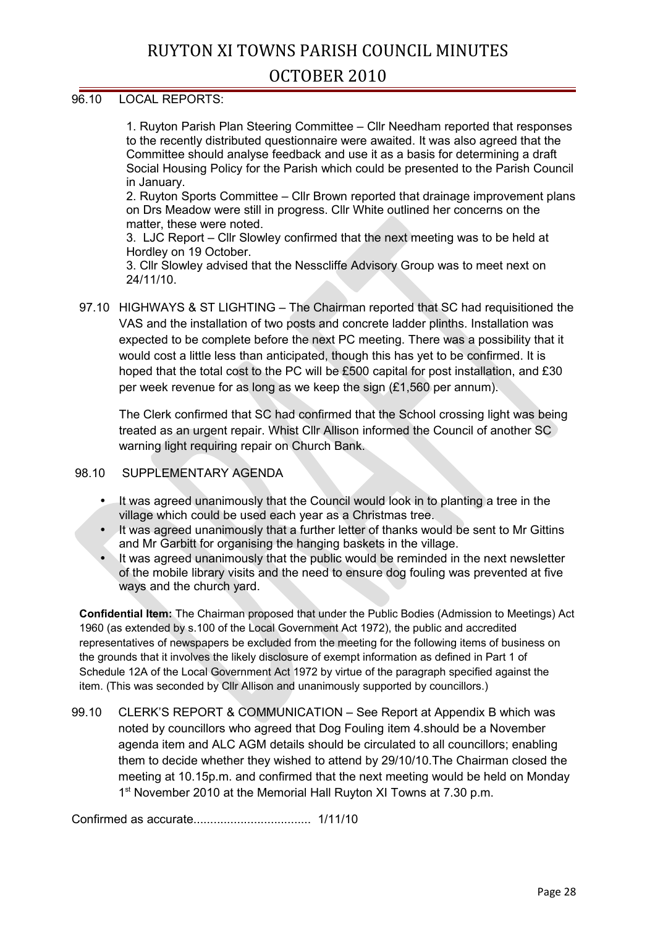#### 96.10 LOCAL REPORTS:

1. Ruyton Parish Plan Steering Committee – Cllr Needham reported that responses to the recently distributed questionnaire were awaited. It was also agreed that the Committee should analyse feedback and use it as a basis for determining a draft Social Housing Policy for the Parish which could be presented to the Parish Council in January.

2. Ruyton Sports Committee – Cllr Brown reported that drainage improvement plans on Drs Meadow were still in progress. Cllr White outlined her concerns on the matter, these were noted.

3. LJC Report – Cllr Slowley confirmed that the next meeting was to be held at Hordley on 19 October.

3. Cllr Slowley advised that the Nesscliffe Advisory Group was to meet next on 24/11/10.

97.10 HIGHWAYS & ST LIGHTING – The Chairman reported that SC had requisitioned the VAS and the installation of two posts and concrete ladder plinths. Installation was expected to be complete before the next PC meeting. There was a possibility that it would cost a little less than anticipated, though this has yet to be confirmed. It is hoped that the total cost to the PC will be £500 capital for post installation, and £30 per week revenue for as long as we keep the sign  $(E1.560$  per annum).

The Clerk confirmed that SC had confirmed that the School crossing light was being treated as an urgent repair. Whist Cllr Allison informed the Council of another SC warning light requiring repair on Church Bank.

#### 98.10 SUPPLEMENTARY AGENDA

- It was agreed unanimously that the Council would look in to planting a tree in the village which could be used each year as a Christmas tree.
- It was agreed unanimously that a further letter of thanks would be sent to Mr Gittins and Mr Garbitt for organising the hanging baskets in the village.
- It was agreed unanimously that the public would be reminded in the next newsletter of the mobile library visits and the need to ensure dog fouling was prevented at five ways and the church yard.

**Confidential Item:** The Chairman proposed that under the Public Bodies (Admission to Meetings) Act 1960 (as extended by s.100 of the Local Government Act 1972), the public and accredited representatives of newspapers be excluded from the meeting for the following items of business on the grounds that it involves the likely disclosure of exempt information as defined in Part 1 of Schedule 12A of the Local Government Act 1972 by virtue of the paragraph specified against the item. (This was seconded by Cllr Allison and unanimously supported by councillors.)

99.10 CLERK'S REPORT & COMMUNICATION – See Report at Appendix B which was noted by councillors who agreed that Dog Fouling item 4.should be a November agenda item and ALC AGM details should be circulated to all councillors; enabling them to decide whether they wished to attend by 29/10/10.The Chairman closed the meeting at 10.15p.m. and confirmed that the next meeting would be held on Monday 1<sup>st</sup> November 2010 at the Memorial Hall Ruyton XI Towns at 7.30 p.m.

Confirmed as accurate................................... 1/11/10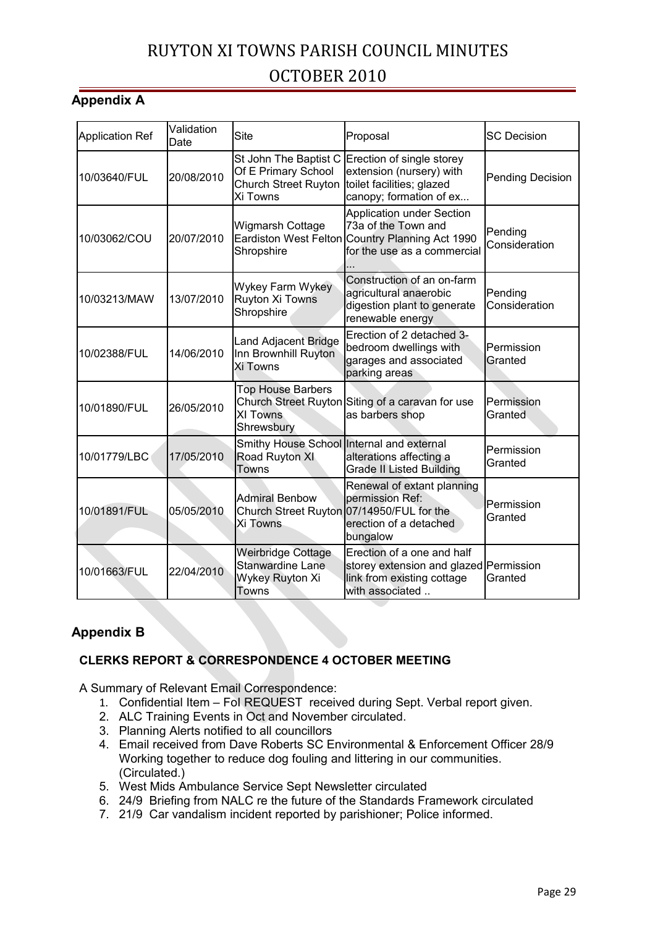### **Appendix A**

| <b>Application Ref</b> | Validation<br>Date | <b>Site</b>                                                                             | Proposal                                                                                                                                  | <b>SC Decision</b>       |
|------------------------|--------------------|-----------------------------------------------------------------------------------------|-------------------------------------------------------------------------------------------------------------------------------------------|--------------------------|
| 10/03640/FUL           | 20/08/2010         | St John The Baptist C<br>Of E Primary School<br><b>Church Street Ruyton</b><br>Xi Towns | Erection of single storey<br>extension (nursery) with<br>toilet facilities; glazed<br>canopy; formation of ex                             | <b>Pending Decision</b>  |
| 10/03062/COU           | 20/07/2010         | Wigmarsh Cottage<br>Shropshire                                                          | <b>Application under Section</b><br>73a of the Town and<br>Eardiston West Felton Country Planning Act 1990<br>for the use as a commercial | Pending<br>Consideration |
| 10/03213/MAW           | 13/07/2010         | Wykey Farm Wykey<br>Ruyton Xi Towns<br>Shropshire                                       | Construction of an on-farm<br>agricultural anaerobic<br>digestion plant to generate<br>renewable energy                                   | Pending<br>Consideration |
| 10/02388/FUL           | 14/06/2010         | Land Adjacent Bridge<br>Inn Brownhill Ruyton<br><b>Xi Towns</b>                         | Erection of 2 detached 3-<br>bedroom dwellings with<br>garages and associated<br>parking areas                                            | Permission<br>Granted    |
| 10/01890/FUL           | 26/05/2010         | <b>Top House Barbers</b><br>XI Towns<br>Shrewsbury                                      | Church Street Ruyton Siting of a caravan for use<br>as barbers shop                                                                       | Permission<br>Granted    |
| 10/01779/LBC           | 17/05/2010         | Smithy House School Internal and external<br>Road Ruyton XI<br>Towns                    | alterations affecting a<br><b>Grade II Listed Building</b>                                                                                | Permission<br>Granted    |
| 10/01891/FUL           | 05/05/2010         | <b>Admiral Benbow</b><br>Xi Towns                                                       | Renewal of extant planning<br>permission Ref:<br>Church Street Ruyton 07/14950/FUL for the<br>erection of a detached<br>bungalow          | Permission<br>Granted    |
| 10/01663/FUL           | 22/04/2010         | <b>Weirbridge Cottage</b><br>Stanwardine Lane<br>Wykey Ruyton Xi<br>Towns               | Erection of a one and half<br>storey extension and glazed Permission<br>link from existing cottage<br>with associated                     | Granted                  |

### **Appendix B**

### **CLERKS REPORT & CORRESPONDENCE 4 OCTOBER MEETING**

A Summary of Relevant Email Correspondence:

- 1. Confidential Item FoI REQUEST received during Sept. Verbal report given.
- 2. ALC Training Events in Oct and November circulated.
- 3. Planning Alerts notified to all councillors
- 4. Email received from Dave Roberts SC Environmental & Enforcement Officer 28/9 Working together to reduce dog fouling and littering in our communities. (Circulated.)
- 5. West Mids Ambulance Service Sept Newsletter circulated
- 6. 24/9 Briefing from NALC re the future of the Standards Framework circulated
- 7. 21/9 Car vandalism incident reported by parishioner; Police informed.